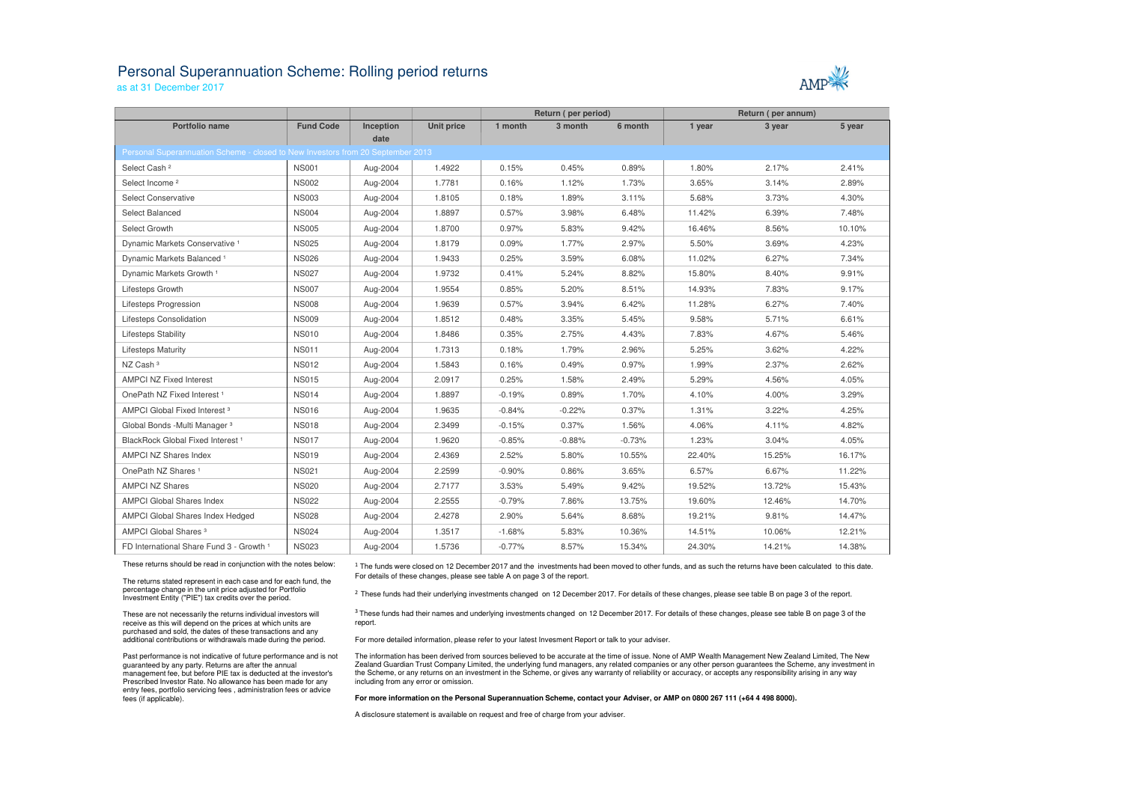# Personal Superannuation Scheme: Rolling period returns

as at 31 December 2017

|                                                                                 |                  |                   |                   | Return (per period) |          | Return (per annum) |        |        |        |
|---------------------------------------------------------------------------------|------------------|-------------------|-------------------|---------------------|----------|--------------------|--------|--------|--------|
| <b>Portfolio name</b>                                                           | <b>Fund Code</b> | Inception<br>date | <b>Unit price</b> | 1 month             | 3 month  | 6 month            | 1 year | 3 year | 5 year |
| Personal Superannuation Scheme - closed to New Investors from 20 September 2013 |                  |                   |                   |                     |          |                    |        |        |        |
| Select Cash <sup>2</sup>                                                        | <b>NS001</b>     | Aug-2004          | 1.4922            | 0.15%               | 0.45%    | 0.89%              | 1.80%  | 2.17%  | 2.41%  |
| Select Income <sup>2</sup>                                                      | <b>NS002</b>     | Aug-2004          | 1.7781            | 0.16%               | 1.12%    | 1.73%              | 3.65%  | 3.14%  | 2.89%  |
| <b>Select Conservative</b>                                                      | <b>NS003</b>     | Aug-2004          | 1.8105            | 0.18%               | 1.89%    | 3.11%              | 5.68%  | 3.73%  | 4.30%  |
| Select Balanced                                                                 | <b>NS004</b>     | Aug-2004          | 1.8897            | 0.57%               | 3.98%    | 6.48%              | 11.42% | 6.39%  | 7.48%  |
| Select Growth                                                                   | <b>NS005</b>     | Aug-2004          | 1.8700            | 0.97%               | 5.83%    | 9.42%              | 16.46% | 8.56%  | 10.10% |
| Dynamic Markets Conservative <sup>1</sup>                                       | <b>NS025</b>     | Aug-2004          | 1.8179            | 0.09%               | 1.77%    | 2.97%              | 5.50%  | 3.69%  | 4.23%  |
| Dynamic Markets Balanced <sup>1</sup>                                           | <b>NS026</b>     | Aug-2004          | 1.9433            | 0.25%               | 3.59%    | 6.08%              | 11.02% | 6.27%  | 7.34%  |
| Dynamic Markets Growth <sup>1</sup>                                             | <b>NS027</b>     | Aug-2004          | 1.9732            | 0.41%               | 5.24%    | 8.82%              | 15.80% | 8.40%  | 9.91%  |
| Lifesteps Growth                                                                | <b>NS007</b>     | Aug-2004          | 1.9554            | 0.85%               | 5.20%    | 8.51%              | 14.93% | 7.83%  | 9.17%  |
| Lifesteps Progression                                                           | <b>NS008</b>     | Aug-2004          | 1.9639            | 0.57%               | 3.94%    | 6.42%              | 11.28% | 6.27%  | 7.40%  |
| Lifesteps Consolidation                                                         | <b>NS009</b>     | Aug-2004          | 1.8512            | 0.48%               | 3.35%    | 5.45%              | 9.58%  | 5.71%  | 6.61%  |
| <b>Lifesteps Stability</b>                                                      | <b>NS010</b>     | Aug-2004          | 1.8486            | 0.35%               | 2.75%    | 4.43%              | 7.83%  | 4.67%  | 5.46%  |
| <b>Lifesteps Maturity</b>                                                       | <b>NS011</b>     | Aug-2004          | 1.7313            | 0.18%               | 1.79%    | 2.96%              | 5.25%  | 3.62%  | 4.22%  |
| NZ Cash <sup>3</sup>                                                            | <b>NS012</b>     | Aug-2004          | 1.5843            | 0.16%               | 0.49%    | 0.97%              | 1.99%  | 2.37%  | 2.62%  |
| <b>AMPCI NZ Fixed Interest</b>                                                  | <b>NS015</b>     | Aug-2004          | 2.0917            | 0.25%               | 1.58%    | 2.49%              | 5.29%  | 4.56%  | 4.05%  |
| OnePath NZ Fixed Interest <sup>1</sup>                                          | <b>NS014</b>     | Aug-2004          | 1.8897            | $-0.19%$            | 0.89%    | 1.70%              | 4.10%  | 4.00%  | 3.29%  |
| AMPCI Global Fixed Interest <sup>3</sup>                                        | <b>NS016</b>     | Aug-2004          | 1.9635            | $-0.84%$            | $-0.22%$ | 0.37%              | 1.31%  | 3.22%  | 4.25%  |
| Global Bonds - Multi Manager 3                                                  | <b>NS018</b>     | Aug-2004          | 2.3499            | $-0.15%$            | 0.37%    | 1.56%              | 4.06%  | 4.11%  | 4.82%  |
| BlackRock Global Fixed Interest <sup>1</sup>                                    | <b>NS017</b>     | Aug-2004          | 1.9620            | $-0.85%$            | $-0.88%$ | $-0.73%$           | 1.23%  | 3.04%  | 4.05%  |
| AMPCI NZ Shares Index                                                           | <b>NS019</b>     | Aug-2004          | 2.4369            | 2.52%               | 5.80%    | 10.55%             | 22.40% | 15.25% | 16.17% |
| OnePath NZ Shares <sup>1</sup>                                                  | <b>NS021</b>     | Aug-2004          | 2.2599            | $-0.90%$            | 0.86%    | 3.65%              | 6.57%  | 6.67%  | 11.22% |
| <b>AMPCI NZ Shares</b>                                                          | <b>NS020</b>     | Aug-2004          | 2.7177            | 3.53%               | 5.49%    | 9.42%              | 19.52% | 13.72% | 15.43% |
| <b>AMPCI Global Shares Index</b>                                                | <b>NS022</b>     | Aug-2004          | 2.2555            | $-0.79%$            | 7.86%    | 13.75%             | 19.60% | 12.46% | 14.70% |
| AMPCI Global Shares Index Hedged                                                | <b>NS028</b>     | Aug-2004          | 2.4278            | 2.90%               | 5.64%    | 8.68%              | 19.21% | 9.81%  | 14.47% |
| AMPCI Global Shares <sup>3</sup>                                                | <b>NS024</b>     | Aug-2004          | 1.3517            | $-1.68%$            | 5.83%    | 10.36%             | 14.51% | 10.06% | 12.21% |
| FD International Share Fund 3 - Growth 1                                        | <b>NS023</b>     | Aug-2004          | 1.5736            | $-0.77%$            | 8.57%    | 15.34%             | 24.30% | 14.21% | 14.38% |
|                                                                                 |                  |                   |                   |                     |          |                    |        |        |        |

 $^1$  The funds were closed on 12 December 2017 and the investments had been moved to other funds, and as such the returns have been calculated to this date. For details of these changes, please see table A on page 3 of the report.

<sup>2</sup> These funds had their underlying investments changed on 12 December 2017. For details of these changes, please see table B on page 3 of the report.

<sup>3</sup> These funds had their names and underlying investments changed on 12 December 2017. For details of these changes, please see table B on page 3 of the report.

These returns should be read in conjunction with the notes below:

The returns stated represent in each case and for each fund, the percentage change in the unit price adjusted for Portfolio Investment Entity ("PIE") tax credits over the period.

These are not necessarily the returns individual investors will receive as this will depend on the prices at which units are purchased and sold, the dates of these transactions and any additional contributions or withdrawals made during the period.

Past performance is not indicative of future performance and is not guaranteed by any party. Returns are after the annual management fee, but before PIE tax is deducted at the investor's Prescribed Investor Rate. No allowance has been made for any entry fees, portfolio servicing fees , administration fees or advice fees (if applicable).

For more detailed information, please refer to your latest Invesment Report or talk to your adviser.

The information has been derived from sources believed to be accurate at the time of issue. None of AMP Wealth Management New Zealand Limited, The New Zealand Guardian Trust Company Limited, the underlying fund managers, any related companies or any other person guarantees the Scheme, any investment in the Scheme, or any returns on an investment in the Scheme, or gives any warranty of reliability or accuracy, or accepts any responsibility arising in any way including from any error or omission.

**For more information on the Personal Superannuation Scheme, contact your Adviser, or AMP on 0800 267 111 (+64 4 498 8000).**

A disclosure statement is available on request and free of charge from your adviser.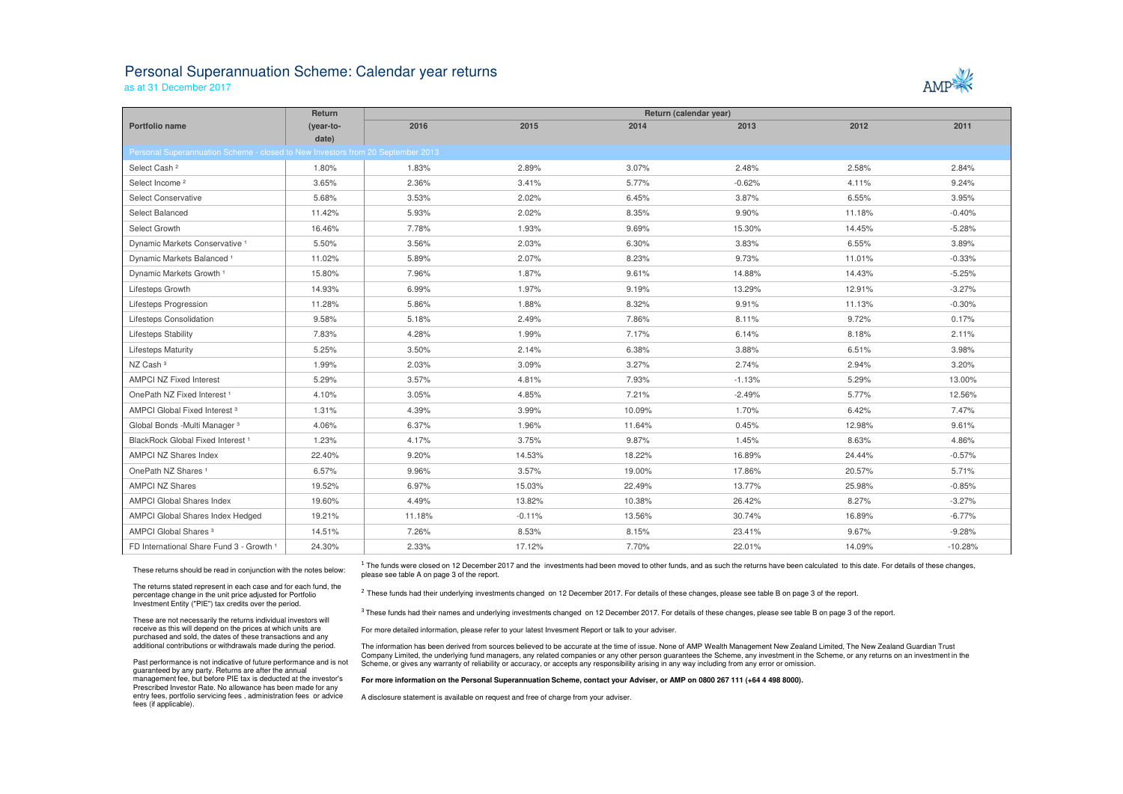## Personal Superannuation Scheme: Calendar year returns

as at 31 December 2017

|                                                                                 | <b>Return</b> | Return (calendar year) |          |        |          |        |           |
|---------------------------------------------------------------------------------|---------------|------------------------|----------|--------|----------|--------|-----------|
| Portfolio name                                                                  | (year-to-     | 2016                   | 2015     | 2014   | 2013     | 2012   | 2011      |
|                                                                                 | date)         |                        |          |        |          |        |           |
| Personal Superannuation Scheme - closed to New Investors from 20 September 2013 |               |                        |          |        |          |        |           |
| Select Cash <sup>2</sup>                                                        | 1.80%         | 1.83%                  | 2.89%    | 3.07%  | 2.48%    | 2.58%  | 2.84%     |
| Select Income <sup>2</sup>                                                      | 3.65%         | 2.36%                  | 3.41%    | 5.77%  | $-0.62%$ | 4.11%  | 9.24%     |
| Select Conservative                                                             | 5.68%         | 3.53%                  | 2.02%    | 6.45%  | 3.87%    | 6.55%  | 3.95%     |
| Select Balanced                                                                 | 11.42%        | 5.93%                  | 2.02%    | 8.35%  | 9.90%    | 11.18% | $-0.40%$  |
| Select Growth                                                                   | 16.46%        | 7.78%                  | 1.93%    | 9.69%  | 15.30%   | 14.45% | $-5.28%$  |
| Dynamic Markets Conservative <sup>1</sup>                                       | 5.50%         | 3.56%                  | 2.03%    | 6.30%  | 3.83%    | 6.55%  | 3.89%     |
| Dynamic Markets Balanced <sup>1</sup>                                           | 11.02%        | 5.89%                  | 2.07%    | 8.23%  | 9.73%    | 11.01% | $-0.33%$  |
| Dynamic Markets Growth 1                                                        | 15.80%        | 7.96%                  | 1.87%    | 9.61%  | 14.88%   | 14.43% | $-5.25%$  |
| Lifesteps Growth                                                                | 14.93%        | 6.99%                  | 1.97%    | 9.19%  | 13.29%   | 12.91% | $-3.27%$  |
| <b>Lifesteps Progression</b>                                                    | 11.28%        | 5.86%                  | 1.88%    | 8.32%  | 9.91%    | 11.13% | $-0.30%$  |
| Lifesteps Consolidation                                                         | 9.58%         | 5.18%                  | 2.49%    | 7.86%  | 8.11%    | 9.72%  | 0.17%     |
| <b>Lifesteps Stability</b>                                                      | 7.83%         | 4.28%                  | 1.99%    | 7.17%  | 6.14%    | 8.18%  | 2.11%     |
| <b>Lifesteps Maturity</b>                                                       | 5.25%         | 3.50%                  | 2.14%    | 6.38%  | 3.88%    | 6.51%  | 3.98%     |
| NZ Cash <sup>3</sup>                                                            | 1.99%         | 2.03%                  | 3.09%    | 3.27%  | 2.74%    | 2.94%  | 3.20%     |
| <b>AMPCI NZ Fixed Interest</b>                                                  | 5.29%         | 3.57%                  | 4.81%    | 7.93%  | $-1.13%$ | 5.29%  | 13.00%    |
| OnePath NZ Fixed Interest <sup>1</sup>                                          | 4.10%         | 3.05%                  | 4.85%    | 7.21%  | $-2.49%$ | 5.77%  | 12.56%    |
| AMPCI Global Fixed Interest <sup>3</sup>                                        | 1.31%         | 4.39%                  | 3.99%    | 10.09% | 1.70%    | 6.42%  | 7.47%     |
| Global Bonds - Multi Manager 3                                                  | 4.06%         | 6.37%                  | 1.96%    | 11.64% | 0.45%    | 12.98% | 9.61%     |
| BlackRock Global Fixed Interest <sup>1</sup>                                    | 1.23%         | 4.17%                  | 3.75%    | 9.87%  | 1.45%    | 8.63%  | 4.86%     |
| <b>AMPCI NZ Shares Index</b>                                                    | 22.40%        | 9.20%                  | 14.53%   | 18.22% | 16.89%   | 24.44% | $-0.57%$  |
| OnePath NZ Shares <sup>1</sup>                                                  | 6.57%         | 9.96%                  | 3.57%    | 19.00% | 17.86%   | 20.57% | 5.71%     |
| <b>AMPCI NZ Shares</b>                                                          | 19.52%        | 6.97%                  | 15.03%   | 22.49% | 13.77%   | 25.98% | $-0.85%$  |
| <b>AMPCI Global Shares Index</b>                                                | 19.60%        | 4.49%                  | 13.82%   | 10.38% | 26.42%   | 8.27%  | $-3.27%$  |
| AMPCI Global Shares Index Hedged                                                | 19.21%        | 11.18%                 | $-0.11%$ | 13.56% | 30.74%   | 16.89% | $-6.77%$  |
| AMPCI Global Shares <sup>3</sup>                                                | 14.51%        | 7.26%                  | 8.53%    | 8.15%  | 23.41%   | 9.67%  | $-9.28%$  |
| FD International Share Fund 3 - Growth 1                                        | 24.30%        | 2.33%                  | 17.12%   | 7.70%  | 22.01%   | 14.09% | $-10.28%$ |

 $^1$  The funds were closed on 12 December 2017 and the investments had been moved to other funds, and as such the returns have been calculated to this date. For details of these changes, please see table A on page 3 of the report.

 $<sup>2</sup>$  These funds had their underlying investments changed on 12 December 2017. For details of these changes, please see table B on page 3 of the report.</sup>

<sup>3</sup> These funds had their names and underlying investments changed on 12 December 2017. For details of these changes, please see table B on page 3 of the report.

The information has been derived from sources believed to be accurate at the time of issue. None of AMP Wealth Management New Zealand Limited, The New Zealand Guardian Trust Company Limited, the underlying fund managers, any related companies or any other person guarantees the Scheme, any investment in the Scheme, or any returns on an investment in the Scheme, or gives any warranty of reliability or accuracy, or accepts any responsibility arising in any way including from any error or omission.

These returns should be read in conjunction with the notes below:

The returns stated represent in each case and for each fund, the percentage change in the unit price adjusted for Portfolio Investment Entity ("PIE") tax credits over the period.

These are not necessarily the returns individual investors will receive as this will depend on the prices at which units are purchased and sold, the dates of these transactions and any additional contributions or withdrawals made during the period.

Past performance is not indicative of future performance and is not guaranteed by any party. Returns are after the annual management fee, but before PIE tax is deducted at the investor's Prescribed Investor Rate. No allowance has been made for any entry fees, portfolio servicing fees , administration fees or advice fees (if applicable).

For more detailed information, please refer to your latest Invesment Report or talk to your adviser.

### **For more information on the Personal Superannuation Scheme, contact your Adviser, or AMP on 0800 267 111 (+64 4 498 8000).**

A disclosure statement is available on request and free of charge from your adviser.